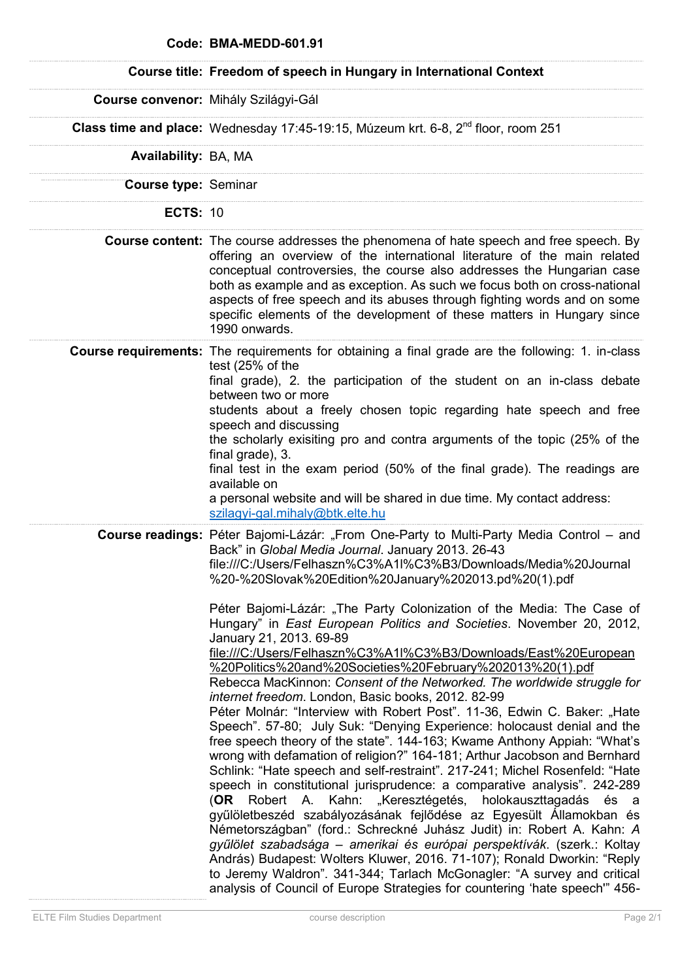|                      | Code: BMA-MEDD-601.91                                                                                                                                                                                                                                                                                                                                                                                                                                                                                                                                                                                                                                                                                                                                                                                                                                                                                                                                                                                                                                                                                                                                                                                                                                                                                                                                                                                                                                                                                                                                                                                                                                                                                                                      |
|----------------------|--------------------------------------------------------------------------------------------------------------------------------------------------------------------------------------------------------------------------------------------------------------------------------------------------------------------------------------------------------------------------------------------------------------------------------------------------------------------------------------------------------------------------------------------------------------------------------------------------------------------------------------------------------------------------------------------------------------------------------------------------------------------------------------------------------------------------------------------------------------------------------------------------------------------------------------------------------------------------------------------------------------------------------------------------------------------------------------------------------------------------------------------------------------------------------------------------------------------------------------------------------------------------------------------------------------------------------------------------------------------------------------------------------------------------------------------------------------------------------------------------------------------------------------------------------------------------------------------------------------------------------------------------------------------------------------------------------------------------------------------|
|                      | Course title: Freedom of speech in Hungary in International Context                                                                                                                                                                                                                                                                                                                                                                                                                                                                                                                                                                                                                                                                                                                                                                                                                                                                                                                                                                                                                                                                                                                                                                                                                                                                                                                                                                                                                                                                                                                                                                                                                                                                        |
|                      | Course convenor: Mihály Szilágyi-Gál                                                                                                                                                                                                                                                                                                                                                                                                                                                                                                                                                                                                                                                                                                                                                                                                                                                                                                                                                                                                                                                                                                                                                                                                                                                                                                                                                                                                                                                                                                                                                                                                                                                                                                       |
|                      | <b>Class time and place:</b> Wednesday 17:45-19:15, Múzeum krt. 6-8, $2^{nd}$ floor, room 251                                                                                                                                                                                                                                                                                                                                                                                                                                                                                                                                                                                                                                                                                                                                                                                                                                                                                                                                                                                                                                                                                                                                                                                                                                                                                                                                                                                                                                                                                                                                                                                                                                              |
| Availability: BA, MA |                                                                                                                                                                                                                                                                                                                                                                                                                                                                                                                                                                                                                                                                                                                                                                                                                                                                                                                                                                                                                                                                                                                                                                                                                                                                                                                                                                                                                                                                                                                                                                                                                                                                                                                                            |
| Course type: Seminar |                                                                                                                                                                                                                                                                                                                                                                                                                                                                                                                                                                                                                                                                                                                                                                                                                                                                                                                                                                                                                                                                                                                                                                                                                                                                                                                                                                                                                                                                                                                                                                                                                                                                                                                                            |
| <b>ECTS: 10</b>      |                                                                                                                                                                                                                                                                                                                                                                                                                                                                                                                                                                                                                                                                                                                                                                                                                                                                                                                                                                                                                                                                                                                                                                                                                                                                                                                                                                                                                                                                                                                                                                                                                                                                                                                                            |
|                      | <b>Course content:</b> The course addresses the phenomena of hate speech and free speech. By<br>offering an overview of the international literature of the main related<br>conceptual controversies, the course also addresses the Hungarian case<br>both as example and as exception. As such we focus both on cross-national<br>aspects of free speech and its abuses through fighting words and on some<br>specific elements of the development of these matters in Hungary since<br>1990 onwards.                                                                                                                                                                                                                                                                                                                                                                                                                                                                                                                                                                                                                                                                                                                                                                                                                                                                                                                                                                                                                                                                                                                                                                                                                                     |
|                      | <b>Course requirements:</b> The requirements for obtaining a final grade are the following: 1. in-class<br>test (25% of the<br>final grade), 2. the participation of the student on an in-class debate<br>between two or more<br>students about a freely chosen topic regarding hate speech and free<br>speech and discussing<br>the scholarly exisiting pro and contra arguments of the topic (25% of the<br>final grade), 3.<br>final test in the exam period (50% of the final grade). The readings are<br>available on<br>a personal website and will be shared in due time. My contact address:<br>szilagyi-gal.mihaly@btk.elte.hu                                                                                                                                                                                                                                                                                                                                                                                                                                                                                                                                                                                                                                                                                                                                                                                                                                                                                                                                                                                                                                                                                                    |
|                      | <b>Course readings:</b> Péter Bajomi-Lázár: "From One-Party to Multi-Party Media Control – and<br>Back" in Global Media Journal. January 2013. 26-43<br>file:///C:/Users/Felhaszn%C3%A1I%C3%B3/Downloads/Media%20Journal<br>%20-%20Slovak%20Edition%20January%202013.pd%20(1).pdf<br>Péter Bajomi-Lázár: "The Party Colonization of the Media: The Case of<br>Hungary" in East European Politics and Societies. November 20, 2012,<br>January 21, 2013. 69-89<br>file:///C:/Users/Felhaszn%C3%A1I%C3%B3/Downloads/East%20European<br>%20Politics%20and%20Societies%20February%202013%20(1).pdf<br>Rebecca MacKinnon: Consent of the Networked. The worldwide struggle for<br>internet freedom. London, Basic books, 2012. 82-99<br>Péter Molnár: "Interview with Robert Post". 11-36, Edwin C. Baker: "Hate<br>Speech". 57-80; July Suk: "Denying Experience: holocaust denial and the<br>free speech theory of the state". 144-163; Kwame Anthony Appiah: "What's<br>wrong with defamation of religion?" 164-181; Arthur Jacobson and Bernhard<br>Schlink: "Hate speech and self-restraint". 217-241; Michel Rosenfeld: "Hate<br>speech in constitutional jurisprudence: a comparative analysis". 242-289<br>Robert A. Kahn: "Keresztégetés, holokauszttagadás és a<br>(OR<br>gyűlöletbeszéd szabályozásának fejlődése az Egyesült Államokban és<br>Németországban" (ford.: Schreckné Juhász Judit) in: Robert A. Kahn: A<br>gyűlölet szabadsága – amerikai és európai perspektívák. (szerk.: Koltay<br>András) Budapest: Wolters Kluwer, 2016. 71-107); Ronald Dworkin: "Reply<br>to Jeremy Waldron". 341-344; Tarlach McGonagler: "A survey and critical<br>analysis of Council of Europe Strategies for countering 'hate speech'" 456- |